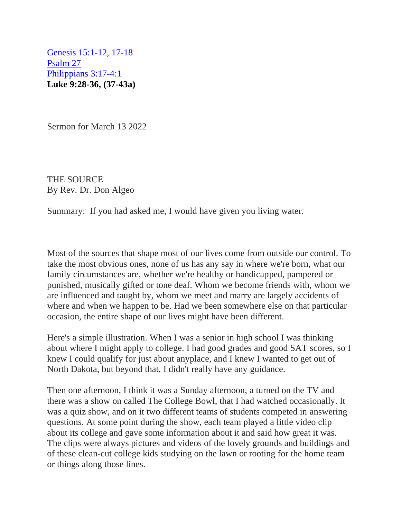[Genesis 15:1-12, 17-18](https://mail.protonmail.com/u/0/inbox/hkW4njde2yE6N5tBUFS54kziciHPDXRRs7yXDGNGapZ6vHTsGZHpXooDGq3CSHVmtq0bLL81YAQHImk2S25hCw==#hebrew_reading)  [Psalm 27](https://mail.protonmail.com/u/0/inbox/hkW4njde2yE6N5tBUFS54kziciHPDXRRs7yXDGNGapZ6vHTsGZHpXooDGq3CSHVmtq0bLL81YAQHImk2S25hCw==#psalm_reading)  [Philippians 3:17-4:1](https://mail.protonmail.com/u/0/inbox/hkW4njde2yE6N5tBUFS54kziciHPDXRRs7yXDGNGapZ6vHTsGZHpXooDGq3CSHVmtq0bLL81YAQHImk2S25hCw==#epistle_reading)  **Luke 9:28-36, (37-43a)**

Sermon for March 13 2022

THE SOURCE By Rev. Dr. Don Algeo

Summary: If you had asked me, I would have given you living water.

Most of the sources that shape most of our lives come from outside our control. To take the most obvious ones, none of us has any say in where we're born, what our family circumstances are, whether we're healthy or handicapped, pampered or punished, musically gifted or tone deaf. Whom we become friends with, whom we are influenced and taught by, whom we meet and marry are largely accidents of where and when we happen to be. Had we been somewhere else on that particular occasion, the entire shape of our lives might have been different.

Here's a simple illustration. When I was a senior in high school I was thinking about where I might apply to college. I had good grades and good SAT scores, so I knew I could qualify for just about anyplace, and I knew I wanted to get out of North Dakota, but beyond that, I didn't really have any guidance.

Then one afternoon, I think it was a Sunday afternoon, a turned on the TV and there was a show on called The College Bowl, that I had watched occasionally. It was a quiz show, and on it two different teams of students competed in answering questions. At some point during the show, each team played a little video clip about its college and gave some information about it and said how great it was. The clips were always pictures and videos of the lovely grounds and buildings and of these clean-cut college kids studying on the lawn or rooting for the home team or things along those lines.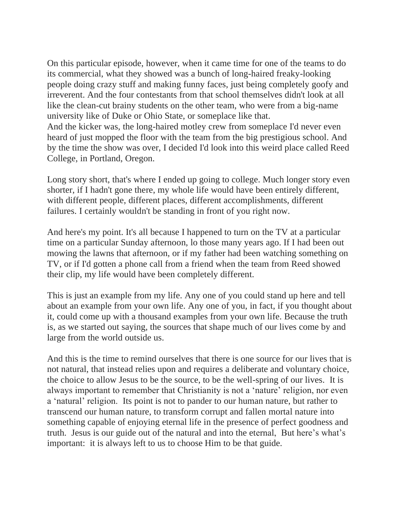On this particular episode, however, when it came time for one of the teams to do its commercial, what they showed was a bunch of long-haired freaky-looking people doing crazy stuff and making funny faces, just being completely goofy and irreverent. And the four contestants from that school themselves didn't look at all like the clean-cut brainy students on the other team, who were from a big-name university like of Duke or Ohio State, or someplace like that. And the kicker was, the long-haired motley crew from someplace I'd never even heard of just mopped the floor with the team from the big prestigious school. And by the time the show was over, I decided I'd look into this weird place called Reed College, in Portland, Oregon.

Long story short, that's where I ended up going to college. Much longer story even shorter, if I hadn't gone there, my whole life would have been entirely different, with different people, different places, different accomplishments, different failures. I certainly wouldn't be standing in front of you right now.

And here's my point. It's all because I happened to turn on the TV at a particular time on a particular Sunday afternoon, lo those many years ago. If I had been out mowing the lawns that afternoon, or if my father had been watching something on TV, or if I'd gotten a phone call from a friend when the team from Reed showed their clip, my life would have been completely different.

This is just an example from my life. Any one of you could stand up here and tell about an example from your own life. Any one of you, in fact, if you thought about it, could come up with a thousand examples from your own life. Because the truth is, as we started out saying, the sources that shape much of our lives come by and large from the world outside us.

And this is the time to remind ourselves that there is one source for our lives that is not natural, that instead relies upon and requires a deliberate and voluntary choice, the choice to allow Jesus to be the source, to be the well-spring of our lives. It is always important to remember that Christianity is not a 'nature' religion, nor even a 'natural' religion. Its point is not to pander to our human nature, but rather to transcend our human nature, to transform corrupt and fallen mortal nature into something capable of enjoying eternal life in the presence of perfect goodness and truth. Jesus is our guide out of the natural and into the eternal, But here's what's important: it is always left to us to choose Him to be that guide.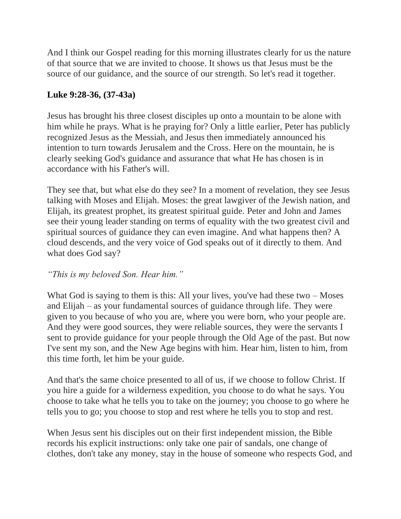And I think our Gospel reading for this morning illustrates clearly for us the nature of that source that we are invited to choose. It shows us that Jesus must be the source of our guidance, and the source of our strength. So let's read it together.

## **Luke 9:28-36, (37-43a)**

Jesus has brought his three closest disciples up onto a mountain to be alone with him while he prays. What is he praying for? Only a little earlier, Peter has publicly recognized Jesus as the Messiah, and Jesus then immediately announced his intention to turn towards Jerusalem and the Cross. Here on the mountain, he is clearly seeking God's guidance and assurance that what He has chosen is in accordance with his Father's will.

They see that, but what else do they see? In a moment of revelation, they see Jesus talking with Moses and Elijah. Moses: the great lawgiver of the Jewish nation, and Elijah, its greatest prophet, its greatest spiritual guide. Peter and John and James see their young leader standing on terms of equality with the two greatest civil and spiritual sources of guidance they can even imagine. And what happens then? A cloud descends, and the very voice of God speaks out of it directly to them. And what does God say?

## *"This is my beloved Son. Hear him."*

What God is saying to them is this: All your lives, you've had these two  $-$  Moses and Elijah – as your fundamental sources of guidance through life. They were given to you because of who you are, where you were born, who your people are. And they were good sources, they were reliable sources, they were the servants I sent to provide guidance for your people through the Old Age of the past. But now I've sent my son, and the New Age begins with him. Hear him, listen to him, from this time forth, let him be your guide.

And that's the same choice presented to all of us, if we choose to follow Christ. If you hire a guide for a wilderness expedition, you choose to do what he says. You choose to take what he tells you to take on the journey; you choose to go where he tells you to go; you choose to stop and rest where he tells you to stop and rest.

When Jesus sent his disciples out on their first independent mission, the Bible records his explicit instructions: only take one pair of sandals, one change of clothes, don't take any money, stay in the house of someone who respects God, and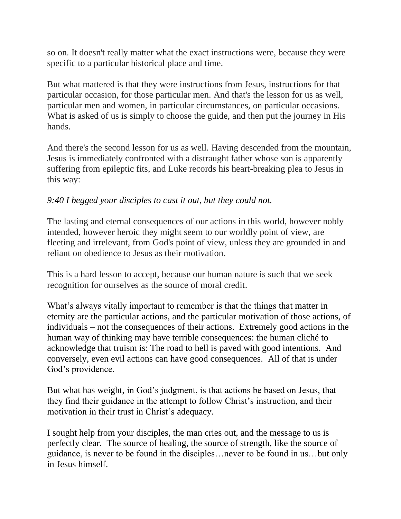so on. It doesn't really matter what the exact instructions were, because they were specific to a particular historical place and time.

But what mattered is that they were instructions from Jesus, instructions for that particular occasion, for those particular men. And that's the lesson for us as well, particular men and women, in particular circumstances, on particular occasions. What is asked of us is simply to choose the guide, and then put the journey in His hands.

And there's the second lesson for us as well. Having descended from the mountain, Jesus is immediately confronted with a distraught father whose son is apparently suffering from epileptic fits, and Luke records his heart-breaking plea to Jesus in this way:

## *9:40 I begged your disciples to cast it out, but they could not.*

The lasting and eternal consequences of our actions in this world, however nobly intended, however heroic they might seem to our worldly point of view, are fleeting and irrelevant, from God's point of view, unless they are grounded in and reliant on obedience to Jesus as their motivation.

This is a hard lesson to accept, because our human nature is such that we seek recognition for ourselves as the source of moral credit.

What's always vitally important to remember is that the things that matter in eternity are the particular actions, and the particular motivation of those actions, of individuals – not the consequences of their actions. Extremely good actions in the human way of thinking may have terrible consequences: the human cliché to acknowledge that truism is: The road to hell is paved with good intentions. And conversely, even evil actions can have good consequences. All of that is under God's providence.

But what has weight, in God's judgment, is that actions be based on Jesus, that they find their guidance in the attempt to follow Christ's instruction, and their motivation in their trust in Christ's adequacy.

I sought help from your disciples, the man cries out, and the message to us is perfectly clear. The source of healing, the source of strength, like the source of guidance, is never to be found in the disciples…never to be found in us…but only in Jesus himself.